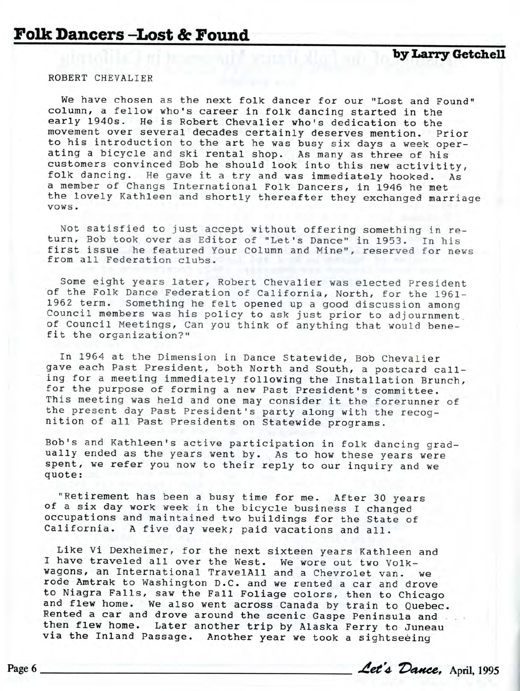ROBERT CHEVALIER

We have chosen as the next folk dancer for our "Lost and Found" column, a fellow who's career in folk dancing started in the early 1940s. He is Robert Chevalier who's dedication to the movement over several decades certainly deserves mention. Prior to his introduction to the art he was busy six days a week operating a bicycle and ski rental shop. As many as three of his customers convinced Bob he should look into this new activitity, folk dancing. He gave it a try and was immediately hooked. As a member of Changs International Folk Dancers, in 1946 he met the lovely Kathleen and shortly thereafter they exchanged marriage vows .

Not satisfied to just accept without offering something in return, Bob took over as Editor of "Let's Dance" in 1953. In his first issue he featured Your column and Mine", reserved for news from all Federation clubs.

Some eight years later, Robert Chevalier was elected President of the Folk Dance Federation of California, North, for the 1961- 1962 term. Something he felt opened up a good discussion among Council members was his policy to ask just prior to adjournment. of Council Meetings, Can you think of anything that would benefit the organization?"

In 1964 at the Dimension in Dance Statewide, Bob Chevalier gave each Past President, both North and South, a postcard calling for a meeting immediately following the Installation Brunch, for the purpose of forming a new Past President's committee. This meeting was held and one may consider it the forerunner of the present day Past President's party along with the recognition of all Past Presidents on Statewide programs.

Bob's and Kathleen's active participation in folk dancing gradually ended as the years went by. As to how these years were spent, we refer you now to their reply to our inquiry and we quote :

"Retirement has been a busy time for me. After 30 years of a six day work week in the bicycle business I changed occupations and maintained two buildings for the State of California. A five day week; paid vacations and all.

Like Vi Dexheimer, for the next sixteen years Kathleen and I have traveled all over the West. We wore out two Volkwagons, an International TravelAll and a Chevrolet van. we rode Amtrak to Washington D.C. and we rented a car and drove to Niagra Falls, saw the Fall Foliage colors, then to Chicago and flew home. We also went across Canada by train to Quebec. Rented a car and drove around the scenic Gaspe Peninsula and then flew home. Later another trip by Alaska Ferry to Juneau via the Inland Passage. Another year we took a sightseeing

Page 6 *<u><i>Aet's* Dance</u>, April, 1995